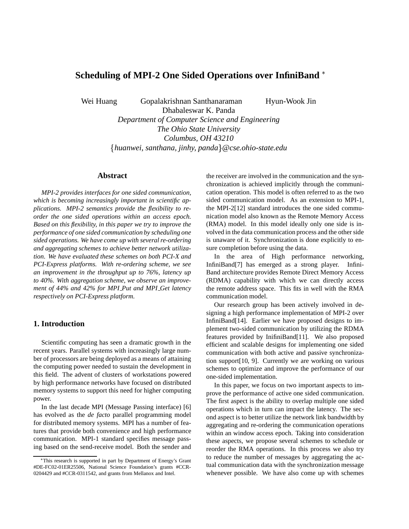# **Scheduling of MPI-2 One Sided Operations over InfiniBand**

Wei Huang Gopalakrishnan Santhanaraman Hyun-Wook Jin

Dhabaleswar K. Panda *Department of Computer Science and Engineering The Ohio State University Columbus, OH 43210 huanwei, santhana, jinhy, panda* - *@cse.ohio-state.edu*

# **Abstract**

*MPI-2 provides interfaces for one sided communication, which is becoming increasingly important in scientific applications. MPI-2 semantics provide the flexibility to reorder the one sided operations within an access epoch. Based on this flexibility, in this paper we try to improve the performance of one sided communication by scheduling one sided operations. We have come up with several re-ordering and aggregating schemes to achieve better network utilization. We have evaluated these schemes on both PCI-X and PCI-Express platforms. With re-ordering scheme, we see an improvement in the throughput up to 76%, latency up to 40%. With aggregation scheme, we observe an improvement of 44% and 42% for MPI Put and MPI Get latency respectively on PCI-Express platform.*

#### **1. Introduction**

Scientific computing has seen a dramatic growth in the recent years. Parallel systems with increasingly large number of processors are being deployed as a means of attaining the computing power needed to sustain the development in this field. The advent of clusters of workstations powered by high performance networks have focused on distributed memory systems to support this need for higher computing power.

In the last decade MPI (Message Passing interface) [6] has evolved as the *de facto* parallel programming model for distributed memory systems. MPI has a number of features that provide both convenience and high performance communication. MPI-1 standard specifies message passing based on the send-receive model. Both the sender and

the receiver are involved in the communication and the synchronization is achieved implicitly through the communication operation. This model is often referred to as the two sided communication model. As an extension to MPI-1, the MPI-2[12] standard introduces the one sided communication model also known as the Remote Memory Access (RMA) model. In this model ideally only one side is involved in the data communication process and the other side is unaware of it. Synchronization is done explicitly to ensure completion before using the data.

In the area of High performance networking, InfiniBand[7] has emerged as a strong player. Infini-Band architecture provides Remote Direct Memory Access (RDMA) capability with which we can directly access the remote address space. This fits in well with the RMA communication model.

Our research group has been actively involved in designing a high performance implementation of MPI-2 over InfiniBand[14]. Earlier we have proposed designs to implement two-sided communication by utilizing the RDMA features provided by InifiniBand[11]. We also proposed efficient and scalable designs for implementing one sided communication with both active and passive synchronization support[10, 9]. Currently we are working on various schemes to optimize and improve the performance of our one-sided implementation.

In this paper, we focus on two important aspects to improve the performance of active one sided communication. The first aspect is the ability to overlap multiple one sided operations which in turn can impact the latency. The second aspect is to better utilize the network link bandwidth by aggregating and re-ordering the communication operations within an window access epoch. Taking into consideration these aspects, we propose several schemes to schedule or reorder the RMA operations. In this process we also try to reduce the number of messages by aggregating the actual communication data with the synchronization message whenever possible. We have also come up with schemes

This research is supported in part by Department of Energy's Grant #DE-FC02-01ER25506, National Science Foundation's grants #CCR-0204429 and #CCR-0311542, and grants from Mellanox and Intel.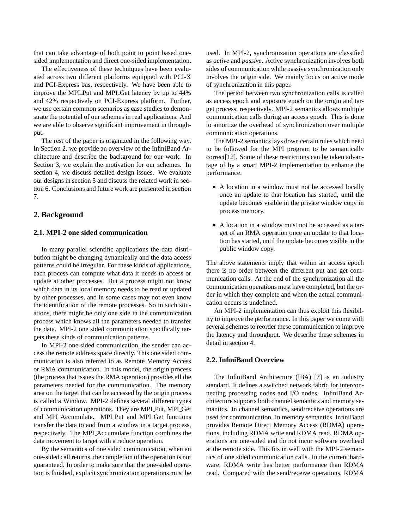that can take advantage of both point to point based onesided implementation and direct one-sided implementation.

The effectiveness of these techniques have been evaluated across two different platforms equipped with PCI-X and PCI-Express bus, respectively. We have been able to improve the MPI Put and MPI Get latency by up to 44% and 42% respectively on PCI-Express platform. Further, we use certain common scenarios as case studies to demonstrate the potential of our schemes in real applications. And we are able to observe significant improvement in throughput.

The rest of the paper is organized in the following way. In Section 2, we provide an overview of the InfiniBand Architecture and describe the background for our work. In Section 3, we explain the motivation for our schemes. In section 4, we discuss detailed design issues. We evaluate our designs in section 5 and discuss the related work in section 6. Conclusions and future work are presented in section 7.

#### **2. Background**

#### **2.1. MPI-2 one sided communication**

In many parallel scientific applications the data distribution might be changing dynamically and the data access patterns could be irregular. For these kinds of applications, each process can compute what data it needs to access or update at other processes. But a process might not know which data in its local memory needs to be read or updated by other processes, and in some cases may not even know the identification of the remote processes. So in such situations, there might be only one side in the communication process which knows all the parameters needed to transfer the data. MPI-2 one sided communication specifically targets these kinds of communication patterns.

In MPI-2 one sided communication, the sender can access the remote address space directly. This one sided communication is also referred to as Remote Memory Access or RMA communication. In this model, the origin process (the process that issues the RMA operation) provides all the parameters needed for the communication. The memory area on the target that can be accessed by the origin process is called a Window. MPI-2 defines several different types of communication operations. They are MPI Put, MPI Get and MPI Accumulate. MPI Put and MPI Get functions transfer the data to and from a window in a target process, respectively. The MPI Accumulate function combines the data movement to target with a reduce operation.

By the semantics of one sided communication, when an one-sided call returns, the completion of the operation is not guaranteed. In order to make sure that the one-sided operation is finished, explicit synchronization operations must be

used. In MPI-2, synchronization operations are classified as *active* and *passive*. Active synchronization involves both sides of communication while passive synchronization only involves the origin side. We mainly focus on active mode of synchronization in this paper.

The period between two synchronization calls is called as access epoch and exposure epoch on the origin and target process, respectively. MPI-2 semantics allows multiple communication calls during an access epoch. This is done to amortize the overhead of synchronization over multiple communication operations.

The MPI-2 semantics lays down certain rules which need to be followed for the MPI program to be semantically correct[12]. Some of these restrictions can be taken advantage of by a smart MPI-2 implementation to enhance the performance.

- A location in a window must not be accessed locally once an update to that location has started, until the update becomes visible in the private window copy in process memory.
- A location in a window must not be accessed as a target of an RMA operation once an update to that location has started, until the update becomes visible in the public window copy.

The above statements imply that within an access epoch there is no order between the different put and get communication calls. At the end of the synchronization all the communication operations must have completed, but the order in which they complete and when the actual communication occurs is undefined.

An MPI-2 implementation can thus exploit this flexibility to improve the performance. In this paper we come with several schemes to reorder these communication to improve the latency and throughput. We describe these schemes in detail in section 4.

#### **2.2. InfiniBand Overview**

The InfiniBand Architecture (IBA) [7] is an industry standard. It defines a switched network fabric for interconnecting processing nodes and I/O nodes. InfiniBand Architecture supports both channel semantics and memory semantics. In channel semantics, send/receive operations are used for communication. In memory semantics, InfiniBand provides Remote Direct Memory Access (RDMA) operations, including RDMA write and RDMA read. RDMA operations are one-sided and do not incur software overhead at the remote side. This fits in well with the MPI-2 semantics of one sided communication calls. In the current hardware, RDMA write has better performance than RDMA read. Compared with the send/receive operations, RDMA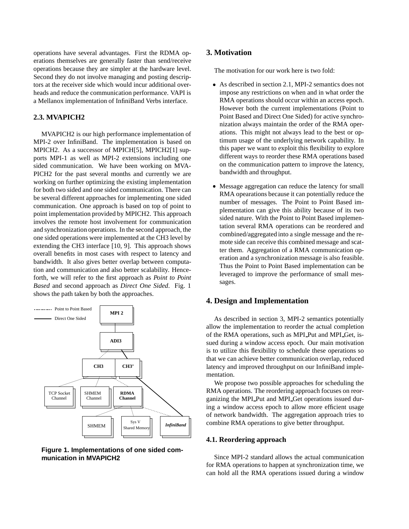operations have several advantages. First the RDMA operations themselves are generally faster than send/receive operations because they are simpler at the hardware level. Second they do not involve managing and posting descriptors at the receiver side which would incur additional overheads and reduce the communication performance. VAPI is a Mellanox implementation of InfiniBand Verbs interface.

### **2.3. MVAPICH2**

MVAPICH2 is our high performance implementation of MPI-2 over InfiniBand. The implementation is based on MPICH2. As a successor of MPICH[5], MPICH2[1] supports MPI-1 as well as MPI-2 extensions including one sided communication. We have been working on MVA-PICH2 for the past several months and currently we are working on further optimizing the existing implementation for both two sided and one sided communication. There can be several different approaches for implementing one sided communication. One approach is based on top of point to point implementation provided by MPICH2. This approach involves the remote host involvement for communication and synchronization operations. In the second approach, the one sided operations were implemented at the CH3 level by extending the CH3 interface [10, 9]. This approach shows overall benefits in most cases with respect to latency and bandwidth. It also gives better overlap between computation and communication and also better scalability. Henceforth, we will refer to the first approach as *Point to Point Based* and second approach as *Direct One Sided*. Fig. 1 shows the path taken by both the approaches.



**Figure 1. Implementations of one sided communication in MVAPICH2**

## **3. Motivation**

The motivation for our work here is two fold:

- As described in section 2.1, MPI-2 semantics does not impose any restrictions on when and in what order the RMA operations should occur within an access epoch. However both the current implementations (Point to Point Based and Direct One Sided) for active synchronization always maintain the order of the RMA operations. This might not always lead to the best or optimum usage of the underlying network capability. In this paper we want to exploit this flexibility to explore different ways to reorder these RMA operations based on the communication pattern to improve the latency, bandwidth and throughput.
- Message aggregation can reduce the latency for small RMA opearations because it can potentially reduce the number of messages. The Point to Point Based implementation can give this ability because of its two sided nature. With the Point to Point Based implementation several RMA operations can be reordered and combined/aggregated into a single message and the remote side can receive this combined message and scatter them. Aggregation of a RMA communication operation and a synchronization message is also feasible. Thus the Point to Point Based implementation can be leveraged to improve the performance of small messages.

## **4. Design and Implementation**

As described in section 3, MPI-2 semantics potentially allow the implementation to reorder the actual completion of the RMA operations, such as MPI Put and MPI Get, issued during a window access epoch. Our main motivation is to utilize this flexibility to schedule these operations so that we can achieve better communication overlap, reduced latency and improved throughput on our InfiniBand implementation.

We propose two possible approaches for scheduling the RMA operations. The reordering approach focuses on reorganizing the MPI Put and MPI Get operations issued during a window access epoch to allow more efficient usage of network bandwidth. The aggregation approach tries to combine RMA operations to give better throughput.

#### **4.1. Reordering approach**

Since MPI-2 standard allows the actual communication for RMA operations to happen at synchronization time, we can hold all the RMA operations issued during a window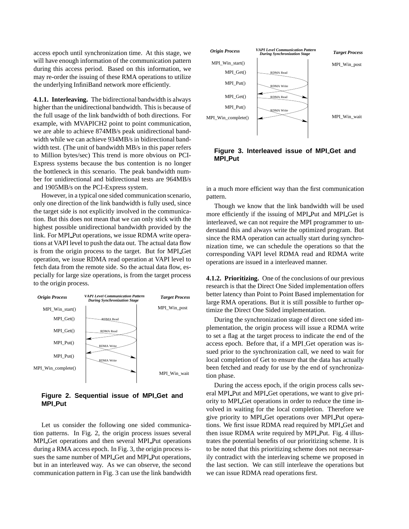access epoch until synchronization time. At this stage, we will have enough information of the communication pattern during this access period. Based on this information, we may re-order the issuing of these RMA operations to utilize the underlying InfiniBand network more efficiently.

**4.1.1. Interleaving.** The bidirectional bandwidth is always higher than the unidirectional bandwidth. This is because of the full usage of the link bandwidth of both directions. For example, with MVAPICH2 point to point communication, we are able to achieve 874MB/s peak unidirectional bandwidth while we can achieve 934MB/s in bidirectional bandwidth test. (The unit of bandwidth MB/s in this paper refers to Million bytes/sec) This trend is more obvious on PCI-Express systems because the bus contention is no longer the bottleneck in this scenario. The peak bandwidth number for unidirectional and bidirectional tests are 964MB/s and 1905MB/s on the PCI-Express system.

However, in a typical one sided communication scenario, only one direction of the link bandwidth is fully used, since the target side is not explicitly involved in the communication. But this does not mean that we can only stick with the highest possible unidirectional bandwidth provided by the link. For MPI Put operations, we issue RDMA write operations at VAPI level to push the data out. The actual data flow is from the origin process to the target. But for MPI Get operation, we issue RDMA read operation at VAPI level to fetch data from the remote side. So the actual data flow, especially for large size operations, is from the target process to the origin process.



**Figure 2. Sequential issue of MPI Get and MPI Put**

Let us consider the following one sided communication patterns. In Fig. 2, the origin process issues several MPI Get operations and then several MPI Put operations during a RMA access epoch. In Fig. 3, the origin process issues the same number of MPI Get and MPI Put operations, but in an interleaved way. As we can observe, the second communication pattern in Fig. 3 can use the link bandwidth



**Figure 3. Interleaved issue of MPI Get and MPI Put**

in a much more efficient way than the first communication pattern.

Though we know that the link bandwidth will be used more efficiently if the issuing of MPI Put and MPI Get is interleaved, we can not require the MPI programmer to understand this and always write the optimized program. But since the RMA operation can actually start during synchronization time, we can schedule the operations so that the corresponding VAPI level RDMA read and RDMA write operations are issued in a interleaved manner.

**4.1.2. Prioritizing.** One of the conclusions of our previous research is that the Direct One Sided implementation offers better latency than Point to Point Based implementation for large RMA operations. But it is still possible to further optimize the Direct One Sided implementation.

During the synchronization stage of direct one sided implementation, the origin process will issue a RDMA write to set a flag at the target process to indicate the end of the access epoch. Before that, if a MPI Get operation was issued prior to the synchronization call, we need to wait for local completion of Get to ensure that the data has actually been fetched and ready for use by the end of synchronization phase.

During the access epoch, if the origin process calls several MPI Put and MPI Get operations, we want to give priority to MPI Get operations in order to reduce the time involved in waiting for the local completion. Therefore we give priority to MPI Get operations over MPI Put operations. We first issue RDMA read required by MPI Get and then issue RDMA write required by MPI Put. Fig. 4 illustrates the potential benefits of our prioritizing scheme. It is to be noted that this prioritizing scheme does not necessarily contradict with the interleaving scheme we proposed in the last section. We can still interleave the operations but we can issue RDMA read operations first.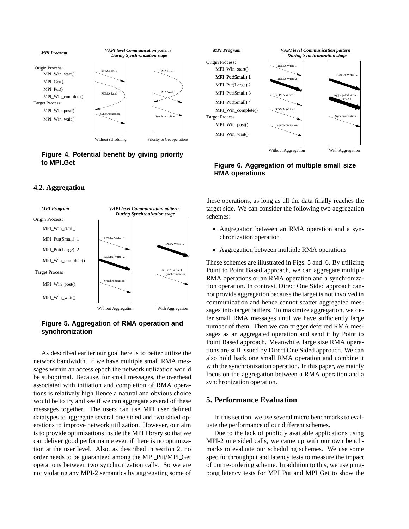

# **Figure 4. Potential benefit by giving priority to MPI Get**

# **4.2. Aggregation**



## **Figure 5. Aggregation of RMA operation and synchronization**

As described earlier our goal here is to better utilize the network bandwidth. If we have multiple small RMA messages within an access epoch the network utilization would be suboptimal. Because, for small messages, the overhead associated with initiation and completion of RMA operations is relatively high.Hence a natural and obvious choice would be to try and see if we can aggregate several of these messages together. The users can use MPI user defined datatypes to aggregate several one sided and two sided operations to improve network utilization. However, our aim is to provide optimizations inside the MPI library so that we can deliver good performance even if there is no optimization at the user level. Also, as described in section 2, no order needs to be guaranteed among the MPI Put/MPI Get operations between two synchronization calls. So we are not violating any MPI-2 semantics by aggregating some of



**Figure 6. Aggregation of multiple small size RMA operations**

these operations, as long as all the data finally reaches the target side. We can consider the following two aggregation schemes:

- Aggregation between an RMA operation and a synchronization operation
- Aggregation between multiple RMA operations

These schemes are illustrated in Figs. 5 and 6. By utilizing Point to Point Based approach, we can aggregate multiple RMA operations or an RMA operation and a synchronization operation. In contrast, Direct One Sided approach cannot provide aggregation because the target is not involved in communication and hence cannot scatter aggregated messages into target buffers. To maximize aggregation, we defer small RMA messages until we have sufficiently large number of them. Then we can trigger deferred RMA messages as an aggregated operation and send it by Point to Point Based approach. Meanwhile, large size RMA operations are still issued by Direct One Sided approach. We can also hold back one small RMA operation and combine it with the synchronization operation. In this paper, we mainly focus on the aggregation between a RMA operation and a synchronization operation.

# **5. Performance Evaluation**

In this section, we use several micro benchmarks to evaluate the performance of our different schemes.

Due to the lack of publicly available applications using MPI-2 one sided calls, we came up with our own benchmarks to evaluate our scheduling schemes. We use some specific throughput and latency tests to measure the impact of our re-ordering scheme. In addition to this, we use pingpong latency tests for MPI Put and MPI Get to show the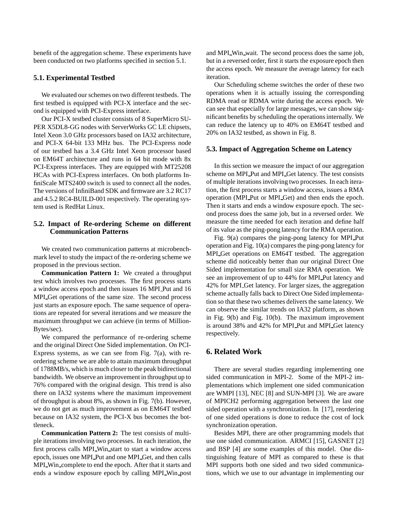benefit of the aggregation scheme. These experiments have been conducted on two platforms specified in section 5.1.

#### **5.1. Experimental Testbed**

We evaluated our schemes on two different testbeds. The first testbed is equipped with PCI-X interface and the second is equipped with PCI-Express interface.

Our PCI-X testbed cluster consists of 8 SuperMicro SU-PER X5DL8-GG nodes with ServerWorks GC LE chipsets, Intel Xeon 3.0 GHz processors based on IA32 architecture, and PCI-X 64-bit 133 MHz bus. The PCI-Express node of our testbed has a 3.4 GHz Intel Xeon processor based on EM64T architecture and runs in 64 bit mode with 8x PCI-Express interfaces. They are equipped with MT25208 HCAs with PCI-Express interfaces. On both platforms InfiniScale MTS2400 switch is used to connect all the nodes. The versions of InfiniBand SDK and firmware are 3.2 RC17 and 4.5.2 RC4-BUILD-001 respectively. The operating system used is RedHat Linux.

### **5.2. Impact of Re-ordering Scheme on different Communication Patterns**

We created two communication patterns at microbenchmark level to study the impact of the re-ordering scheme we proposed in the previous section.

**Communication Pattern 1:** We created a throughput test which involves two processes. The first process starts a window access epoch and then issues 16 MPI Put and 16 MPI Get operations of the same size. The second process just starts an exposure epoch. The same sequence of operations are repeated for several iterations and we measure the maximum throughput we can achieve (in terms of Million-Bytes/sec).

We compared the performance of re-ordering scheme and the original Direct One Sided implementation. On PCI-Express systems, as we can see from Fig.  $7(a)$ , with reordering scheme we are able to attain maximum throughput of 1788MB/s, which is much closer to the peak bidirectional bandwidth. We observe an improvement in throughput up to 76% compared with the original design. This trend is also there on IA32 systems where the maximum improvement of throughput is about 8%, as shown in Fig. 7(b). However, we do not get as much improvement as on EM64T testbed because on IA32 system, the PCI-X bus becomes the bottleneck.

**Communication Pattern 2:** The test consists of multiple iterations involving two processes. In each iteration, the first process calls MPI Win start to start a window access epoch, issues one MPI Put and one MPI Get, and then calls MPI Win complete to end the epoch. After that it starts and ends a window exposure epoch by calling MPI Win post and MPI Win wait. The second process does the same job, but in a reversed order, first it starts the exposure epoch then the access epoch. We measure the average latency for each iteration.

Our Scheduling scheme switches the order of these two operations when it is actually issuing the corresponding RDMA read or RDMA write during the access epoch. We can see that especially for large messages, we can show significant benefits by scheduling the operationsinternally. We can reduce the latency up to 40% on EM64T testbed and 20% on IA32 testbed, as shown in Fig. 8.

#### **5.3. Impact of Aggregation Scheme on Latency**

In this section we measure the impact of our aggregation scheme on MPI Put and MPI Get latency. The test consists of multiple iterations involving two processes. In each iteration, the first process starts a window access, issues a RMA operation (MPI Put or MPI Get) and then ends the epoch. Then it starts and ends a window exposure epoch. The second process does the same job, but in a reversed order. We measure the time needed for each iteration and define half of its value as the ping-pong latency for the RMA operation.

Fig. 9(a) compares the ping-pong latency for MPI Put operation and Fig. 10(a) comparesthe ping-pong latency for MPI Get operations on EM64T testbed. The aggregation scheme did noticeably better than our original Direct One Sided implementation for small size RMA operation. We see an improvement of up to 44% for MPI Put latency and 42% for MPI Get latency. For larger sizes, the aggregation scheme actually falls back to Direct One Sided implementation so that these two schemes delivers the same latency. We can observe the similar trends on IA32 platform, as shown in Fig. 9(b) and Fig. 10(b). The maximum improvement is around 38% and 42% for MPI Put and MPI Get latency respectively.

# **6. Related Work**

There are several studies regarding implementing one sided communication in MPI-2. Some of the MPI-2 implementations which implement one sided communication are WMPI [13], NEC [8] and SUN-MPI [3]. We are aware of MPICH2 performing aggregation between the last one sided operation with a synchronization. In [17], reordering of one sided operations is done to reduce the cost of lock synchronization operation.

Besides MPI, there are other programming models that use one sided communication. ARMCI [15], GASNET [2] and BSP [4] are some examples of this model. One distinguishing feature of MPI as compared to these is that MPI supports both one sided and two sided communications, which we use to our advantage in implementing our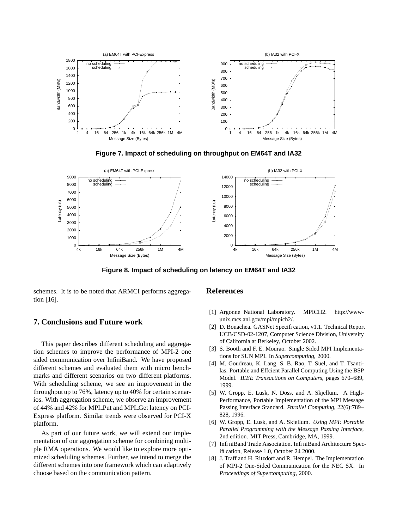

**Figure 7. Impact of scheduling on throughput on EM64T and IA32**



**Figure 8. Impact of scheduling on latency on EM64T and IA32**

schemes. It is to be noted that ARMCI performs aggregation [16].

# **7. Conclusions and Future work**

This paper describes different scheduling and aggregation schemes to improve the performance of MPI-2 one sided communication over InfiniBand. We have proposed different schemes and evaluated them with micro benchmarks and different scenarios on two different platforms. With scheduling scheme, we see an improvement in the throughput up to 76%, latency up to 40% for certain scenarios. With aggregation scheme, we observe an improvement of 44% and 42% for MPI Put and MPI Get latency on PCI-Express platform. Similar trends were observed for PCI-X platform.

As part of our future work, we will extend our implementation of our aggregation scheme for combining multiple RMA operations. We would like to explore more optimized scheduling schemes. Further, we intend to merge the different schemes into one framework which can adaptively choose based on the communication pattern.

#### **References**

- [1] Argonne National Laboratory. MPICH2. http://wwwunix.mcs.anl.gov/mpi/mpich2/.
- [2] D. Bonachea. GASNet Specification, v1.1. Technical Report UCB/CSD-02-1207, Computer Science Division, University of California at Berkeley, October 2002.
- [3] S. Booth and F. E. Mourao. Single Sided MPI Implementations for SUN MPI. In *Supercomputing*, 2000.
- [4] M. Goudreau, K. Lang, S. B. Rao, T. Suel, and T. Tsantilas. Portable and Effcient Parallel Computing Using the BSP Model. *IEEE Transactions on Computers*, pages 670–689, 1999.
- [5] W. Gropp, E. Lusk, N. Doss, and A. Skjellum. A High-Performance, Portable Implementation of the MPI Message Passing Interface Standard. *Parallel Computing*, 22(6):789– 828, 1996.
- [6] W. Gropp, E. Lusk, and A. Skjellum. *Using MPI: Portable Parallel Programming with the Message Passing Interface,* 2nd edition. MIT Press, Cambridge, MA, 1999.
- [7] Infi niBand Trade Association. Infi niBand Architecture Specification, Release 1.0, October 24 2000.
- [8] J. Traff and H. Ritzdorf and R. Hempel. The Implementation of MPI-2 One-Sided Communication for the NEC SX. In *Proceedings of Supercomputing*, 2000.